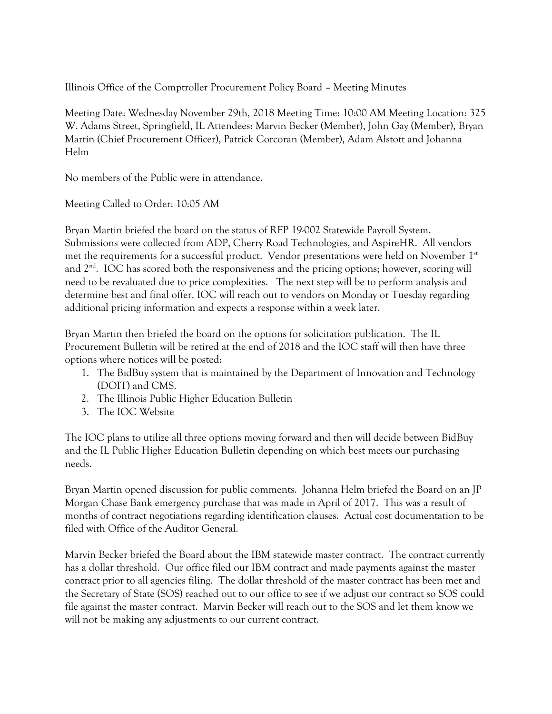Illinois Office of the Comptroller Procurement Policy Board – Meeting Minutes

Meeting Date: Wednesday November 29th, 2018 Meeting Time: 10:00 AM Meeting Location: 325 W. Adams Street, Springfield, IL Attendees: Marvin Becker (Member), John Gay (Member), Bryan Martin (Chief Procurement Officer), Patrick Corcoran (Member), Adam Alstott and Johanna Helm

No members of the Public were in attendance.

Meeting Called to Order: 10:05 AM

Bryan Martin briefed the board on the status of RFP 19-002 Statewide Payroll System. Submissions were collected from ADP, Cherry Road Technologies, and AspireHR. All vendors met the requirements for a successful product. Vendor presentations were held on November 1<sup>st</sup> and  $2<sup>nd</sup>$ . IOC has scored both the responsiveness and the pricing options; however, scoring will need to be revaluated due to price complexities. The next step will be to perform analysis and determine best and final offer. IOC will reach out to vendors on Monday or Tuesday regarding additional pricing information and expects a response within a week later.

Bryan Martin then briefed the board on the options for solicitation publication. The IL Procurement Bulletin will be retired at the end of 2018 and the IOC staff will then have three options where notices will be posted:

- 1. The BidBuy system that is maintained by the Department of Innovation and Technology (DOIT) and CMS.
- 2. The Illinois Public Higher Education Bulletin
- 3. The IOC Website

The IOC plans to utilize all three options moving forward and then will decide between BidBuy and the IL Public Higher Education Bulletin depending on which best meets our purchasing needs.

Bryan Martin opened discussion for public comments. Johanna Helm briefed the Board on an JP Morgan Chase Bank emergency purchase that was made in April of 2017. This was a result of months of contract negotiations regarding identification clauses. Actual cost documentation to be filed with Office of the Auditor General.

Marvin Becker briefed the Board about the IBM statewide master contract. The contract currently has a dollar threshold. Our office filed our IBM contract and made payments against the master contract prior to all agencies filing. The dollar threshold of the master contract has been met and the Secretary of State (SOS) reached out to our office to see if we adjust our contract so SOS could file against the master contract. Marvin Becker will reach out to the SOS and let them know we will not be making any adjustments to our current contract.